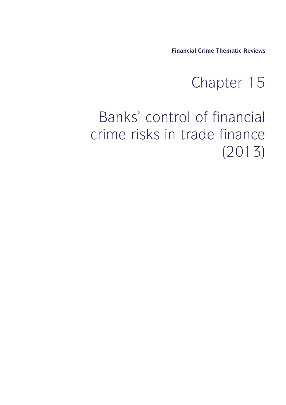**Financial Crime Thematic Reviews**

## al Crime Thematic Reviews<br>
Chapter 15<br>
of financial

## Financial Crime Thematic Reviews<br>
Chapter 15<br>
Banks' control of financial<br>
rime risks in trade finance Financial Crime Thematic Reviews<br>Chapter 15<br>Banks' control of financial<br>crime risks in trade finance<br>(2013) (2013)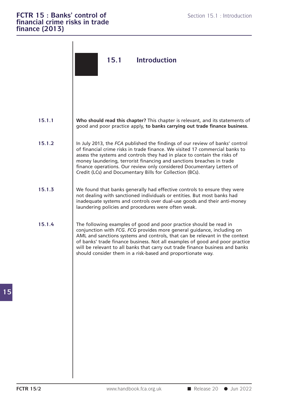| finance (2013)   | <b>FCTR 15: Banks' control of</b><br>Section 15.1 : Introduction<br>financial crime risks in trade                                                                                                                                                                                                                                                                                                                                                          |
|------------------|-------------------------------------------------------------------------------------------------------------------------------------------------------------------------------------------------------------------------------------------------------------------------------------------------------------------------------------------------------------------------------------------------------------------------------------------------------------|
|                  | 15.1<br><b>Introduction</b>                                                                                                                                                                                                                                                                                                                                                                                                                                 |
| 15.1.1           | Who should read this chapter? This chapter is relevant, and its statements of<br>good and poor practice apply, to banks carrying out trade finance business.                                                                                                                                                                                                                                                                                                |
| 15.1.2           | In July 2013, the FCA published the findings of our review of banks' control<br>of financial crime risks in trade finance. We visited 17 commercial banks to<br>assess the systems and controls they had in place to contain the risks of<br>money laundering, terrorist financing and sanctions breaches in trade<br>finance operations. Our review only considered Documentary Letters of<br>Credit (LCs) and Documentary Bills for Collection (BCs).     |
| 15.1.3           | We found that banks generally had effective controls to ensure they were<br>not dealing with sanctioned individuals or entities. But most banks had<br>inadequate systems and controls over dual-use goods and their anti-money<br>laundering policies and procedures were often weak.                                                                                                                                                                      |
| 15.1.4           | The following examples of good and poor practice should be read in<br>conjunction with FCG. FCG provides more general guidance, including on<br>AML and sanctions systems and controls, that can be relevant in the context<br>of banks' trade finance business. Not all examples of good and poor practice<br>will be relevant to all banks that carry out trade finance business and banks<br>should consider them in a risk-based and proportionate way. |
|                  |                                                                                                                                                                                                                                                                                                                                                                                                                                                             |
| <b>FCTR 15/2</b> | Release 20 Jun 2022<br>www.handbook.fca.org.uk                                                                                                                                                                                                                                                                                                                                                                                                              |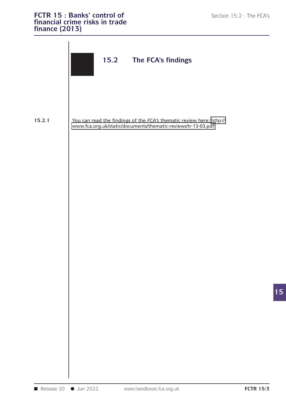

**15**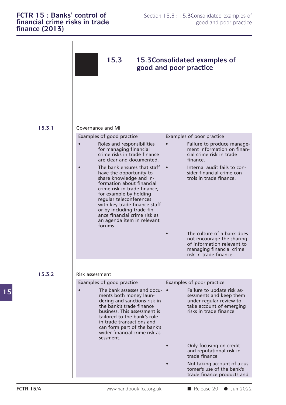## **FCTR 15 : Banks' control of** Section 15.3 : 15.3Consolidated examples of **financial crime risks in trade** good and poor practice **finance (2013) FCTR 15 : Banks' control of**<br> **financial crime risks in trade** good and poor practice<br> **finance (2013) financial crime risks in trade finance (2013)**

| FCTR 15 : Banks' control of<br>financial crime risks in trade<br>finance (2013) |                                                                                                                                                                                                                                                                                                                                            | Section 15.3 : 15.3 Consolidated examples of<br>good and poor practice                                                                      |  |  |
|---------------------------------------------------------------------------------|--------------------------------------------------------------------------------------------------------------------------------------------------------------------------------------------------------------------------------------------------------------------------------------------------------------------------------------------|---------------------------------------------------------------------------------------------------------------------------------------------|--|--|
|                                                                                 | 15.3                                                                                                                                                                                                                                                                                                                                       | 15.3 Consolidated examples of<br>good and poor practice                                                                                     |  |  |
| 15.3.1                                                                          | Governance and MI                                                                                                                                                                                                                                                                                                                          |                                                                                                                                             |  |  |
|                                                                                 | Examples of good practice                                                                                                                                                                                                                                                                                                                  | Examples of poor practice                                                                                                                   |  |  |
|                                                                                 | Roles and responsibilities<br>for managing financial<br>crime risks in trade finance<br>are clear and documented.                                                                                                                                                                                                                          | Failure to produce manage-<br>ment information on finan-<br>cial crime risk in trade<br>finance.                                            |  |  |
|                                                                                 | The bank ensures that staff<br>have the opportunity to<br>share knowledge and in-<br>formation about financial<br>crime risk in trade finance,<br>for example by holding<br>regular teleconferences<br>with key trade finance staff<br>or by including trade fin-<br>ance financial crime risk as<br>an agenda item in relevant<br>forums. | Internal audit fails to con-<br>$\bullet$<br>sider financial crime con-<br>trols in trade finance.                                          |  |  |
|                                                                                 |                                                                                                                                                                                                                                                                                                                                            | The culture of a bank does<br>not encourage the sharing<br>of information relevant to<br>managing financial crime<br>risk in trade finance. |  |  |
|                                                                                 |                                                                                                                                                                                                                                                                                                                                            |                                                                                                                                             |  |  |
| 15.3.2                                                                          | Risk assessment                                                                                                                                                                                                                                                                                                                            |                                                                                                                                             |  |  |
|                                                                                 | Examples of good practice                                                                                                                                                                                                                                                                                                                  | Examples of poor practice                                                                                                                   |  |  |
|                                                                                 | The bank assesses and docu- •<br>ments both money laun-<br>dering and sanctions risk in<br>the bank's trade finance<br>business. This assessment is<br>tailored to the bank's role<br>in trade transactions and<br>can form part of the bank's<br>wider financial crime risk as-<br>sessment.                                              | Failure to update risk as-<br>sessments and keep them<br>under regular review to<br>take account of emerging<br>risks in trade finance.     |  |  |
|                                                                                 |                                                                                                                                                                                                                                                                                                                                            | Only focusing on credit<br>and reputational risk in<br>trade finance.                                                                       |  |  |
|                                                                                 |                                                                                                                                                                                                                                                                                                                                            | Not taking account of a cus-<br>tomer's use of the bank's<br>trade finance products and                                                     |  |  |
| <b>FCTR 15/4</b>                                                                | www.handbook.fca.org.uk                                                                                                                                                                                                                                                                                                                    | Release 20 Jun 2022                                                                                                                         |  |  |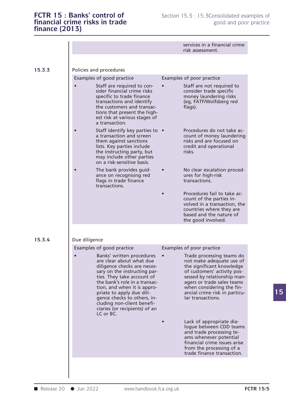|                                                                                                                                                                                                                                                                                                                                                            | services in a financial crime<br>risk assessment.                                                                                                                                                                                                                 |
|------------------------------------------------------------------------------------------------------------------------------------------------------------------------------------------------------------------------------------------------------------------------------------------------------------------------------------------------------------|-------------------------------------------------------------------------------------------------------------------------------------------------------------------------------------------------------------------------------------------------------------------|
| Policies and procedures                                                                                                                                                                                                                                                                                                                                    |                                                                                                                                                                                                                                                                   |
| Examples of good practice                                                                                                                                                                                                                                                                                                                                  | Examples of poor practice                                                                                                                                                                                                                                         |
| Staff are required to con-<br>sider financial crime risks<br>specific to trade finance<br>transactions and identify<br>the customers and transac-<br>tions that present the high-<br>est risk at various stages of<br>a transaction.                                                                                                                       | Staff are not required to<br>consider trade specific<br>money laundering risks<br>(eg, FATF/Wolfsberg red<br>flags).                                                                                                                                              |
| Staff identify key parties to •<br>a transaction and screen<br>them against sanctions<br>lists. Key parties include<br>the instructing party, but<br>may include other parties<br>on a risk-sensitive basis.                                                                                                                                               | Procedures do not take ac-<br>count of money laundering<br>risks and are focused on<br>credit and operational<br>risks.                                                                                                                                           |
| The bank provides guid-<br>ance on recognising red<br>flags in trade finance<br>transactions.                                                                                                                                                                                                                                                              | No clear escalation proced-<br>ures for high-risk<br>transactions.                                                                                                                                                                                                |
|                                                                                                                                                                                                                                                                                                                                                            | Procedures fail to take ac-<br>count of the parties in-<br>volved in a transaction, the<br>countries where they are<br>based and the nature of<br>the good involved.                                                                                              |
| Due diligence                                                                                                                                                                                                                                                                                                                                              |                                                                                                                                                                                                                                                                   |
| Examples of good practice                                                                                                                                                                                                                                                                                                                                  | Examples of poor practice                                                                                                                                                                                                                                         |
| Banks' written procedures<br>are clear about what due<br>diligence checks are neces-<br>sary on the instructing par-<br>ties. They take account of<br>the bank's role in a transac-<br>tion, and when it is appro-<br>priate to apply due dili-<br>gence checks to others, in-<br>cluding non-client benefi-<br>ciaries (or recipients) of an<br>LC or BC. | Trade processing teams do<br>not make adequate use of<br>the significant knowledge<br>of customers' activity pos-<br>sessed by relationship man-<br>agers or trade sales teams<br>when considering the fin-<br>ancial crime risk in particu-<br>lar transactions. |
|                                                                                                                                                                                                                                                                                                                                                            | Lack of appropriate dia-<br>logue between CDD teams<br>and trade processing te-<br>ams whenever potential<br>financial crime issues arise<br>from the processing of a<br>trade finance transaction.                                                               |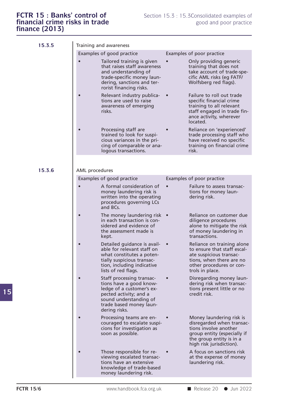| 15.3.5 |                | Training and awareness                                                                                                                                                                                |           |                                                                                                                                                                       |
|--------|----------------|-------------------------------------------------------------------------------------------------------------------------------------------------------------------------------------------------------|-----------|-----------------------------------------------------------------------------------------------------------------------------------------------------------------------|
|        |                | Examples of good practice<br>Tailored training is given<br>that raises staff awareness<br>and understanding of<br>trade-specific money laun-<br>dering, sanctions and ter-<br>rorist financing risks. |           | Examples of poor practice<br>Only providing generic<br>training that does not<br>take account of trade-spe-<br>cific AML risks (eg FATF/<br>Wolfsberg red flags).     |
|        |                | Relevant industry publica-<br>tions are used to raise<br>awareness of emerging<br>risks.                                                                                                              | $\bullet$ | Failure to roll out trade<br>specific financial crime<br>training to all relevant<br>staff engaged in trade fin-<br>ance activity, wherever<br>located.               |
|        |                | Processing staff are<br>trained to look for suspi-<br>cious variances in the pri-<br>cing of comparable or ana-<br>logous transactions.                                                               |           | Reliance on 'experienced'<br>trade processing staff who<br>have received no specific<br>training on financial crime<br>risk.                                          |
| 15.3.6 | AML procedures |                                                                                                                                                                                                       |           |                                                                                                                                                                       |
|        |                | Examples of good practice                                                                                                                                                                             |           | Examples of poor practice                                                                                                                                             |
|        |                | A formal consideration of<br>money laundering risk is<br>written into the operating<br>procedures governing LCs<br>and BCs.                                                                           |           | Failure to assess transac-<br>tions for money laun-<br>dering risk.                                                                                                   |
|        |                | The money laundering risk $\bullet$<br>in each transaction is con-<br>sidered and evidence of<br>the assessment made is<br>kept.                                                                      |           | Reliance on customer due<br>diligence procedures<br>alone to mitigate the risk<br>of money laundering in<br>transactions.                                             |
|        |                | Detailed guidance is avail-<br>able for relevant staff on<br>what constitutes a poten-<br>tially suspicious transac-<br>tion, including indicative<br>lists of red flags.                             |           | Reliance on training alone<br>to ensure that staff escal-<br>ate suspicious transac-<br>tions, when there are no<br>other procedures or con-<br>trols in place.       |
|        |                | Staff processing transac-<br>tions have a good know-<br>ledge of a customer's ex-<br>pected activity; and a<br>sound understanding of<br>trade based money laun-<br>dering risks.                     |           | Disregarding money laun-<br>dering risk when transac-<br>tions present little or no<br>credit risk.                                                                   |
|        |                | Processing teams are en-<br>couraged to escalate suspi-<br>cions for investigation as<br>soon as possible.                                                                                            |           | Money laundering risk is<br>disregarded when transac-<br>tions involve another<br>group entity (especially if<br>the group entity is in a<br>high risk jurisdiction). |
|        |                | Those responsible for re-<br>viewing escalated transac-<br>tions have an extensive<br>knowledge of trade-based<br>money laundering risk.                                                              |           | A focus on sanctions risk<br>at the expense of money<br>laundering risk.                                                                                              |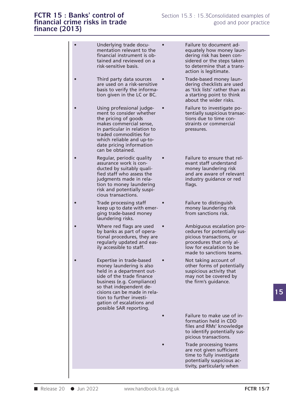## **FCTR 15 : Banks' control of** Section 15.3 : 15.3Consolidated examples of **financial crime risks in trade** good and poor practice **finance (2013) FCTR 15 : Banks' control of**<br> **financial crime risks in trade** good and poor practice<br> **finance (2013) fCTR 15 : Banks' components**<br>financial crime risks<br>finance (2013)

time to fully investigate<br>
potentially suspicious activity, particularly when<br>
■ Release 20 ● Jun 2022 www.handbook.fca.org.uk<br>
FCTR 15/7 **First control of**<br> **example find trade**<br> **example find trade**<br> **example find trade**<br> **example find trade**<br> **example find trade docu-**<br> **example find trade document ad-**<br> **equately how money late of the**<br> **equately how mon Summary of the example of the example of the example of the equately how money laun-**<br> **Summarial instrument to the financial instrument is obtained and reviewed on a**<br> **Summarial instrument is obtained and reviewed on a** financial instrument is ob- dering risk has been con-Underlying trade docu-<br>
mentation relevant to the<br>
financial instrument is ob-<br>
tained and reviewed on a<br>
risk-sensitive basis.<br>
Tisk-sensitive basis.<br>
Tisk-sensitive basis.<br>
Tisk-sensitive basis.<br>
The steps taken<br>
to dete Underlying trade docu-<br>
mentation relevant to the<br>
financial instrument is ob-<br>
tained and reviewed on a<br>
risk-sensitive basis.<br>
This docution is legitimate.<br>
This docution is legitimate. • Underlying trade docu-<br>
• Failure to document ad-<br>
• financial instrument is ob-<br>
• tained and reviewed on a<br>
• risk-sensitive basis.<br>
• Third party data sources • Trade-based money laun-<br>
• Trade-based money laun-<br>
• Tr mentation relevant to the equately how money laun-<br>
financial instrument is ob-<br>
tained and reviewed on a<br>
risk-sensitive basis.<br>
Third party data sources<br>
Trade-based money laun-<br>
are used on a risk-sensitive<br>
basis to ve Francial instrument is ob-<br>
tained and reviewed on a<br>
risk-sensitive basis.<br>
Third party data sources<br>
Trade-based money laun-<br>
are used on a risk-sensitive<br>
basis to verify the informa-<br>
tion given in the LC or BC.<br>
Third tained and reviewed on a<br>
risk-sensitive basis.<br>
Third party data sources<br>
Trade-based money laun-<br>
are used on a risk-sensitive<br>
basis to verify the informa-<br>
tion given in the LC or BC.<br>
Trade-based money laun-<br>
dering c Fisk-sensitive basis.<br>
• Third party data sources<br>
• Trade-based money laun-<br>
are used on a risk-sensitive<br>
basis to verify the informa-<br>
tion given in the LC or BC.<br>
• Using professional judge-<br>
• Trade-based money laun-<br> Third party data sources<br>
are used on a risk-sensitive<br>
basis to verify the informa-<br>
tion given in the LC or BC.<br>
Using professional judge-<br>
ment to consider whether<br>
the pricing of goods<br>
tions due to time con-<br>
makes co are used on a risk-sensitive to dering checklists are used on a risk-sensitive to this as 'tick lists' rather that<br>tion given in the LC or BC.<br>As 'tick lists' rather than a starting point to this about the wider risks.<br>Usi basis to verify the informa-<br>
tion given in the LC or BC.<br>
a starting point to think<br>
about the wider risks.<br>
Using professional judge-<br>
ment to consider whether<br>
the pricing of goods<br>
tions due to time con-<br>
makes commerc tion given in the LC or BC.<br>
Using professional judge-<br>
Using professional judge-<br>
ment to consider whether<br>
the pricing of goods<br>
tions due to tire<br>
makes commercial sense,<br>
in particular in relation to<br>
traded commoditie Using professional judge-<br>
ment to consider whether<br>
the pricing of goods<br>
makes commercial sense,<br>
in particular in relation to<br>
traded commodities for<br>
which reliable and up-to-<br>
date pricing information Using professional judge-<br>ment to consider whether<br>the pricing of goods<br>makes commercial sense,<br>in particular in relation to<br>traded commodities for<br>which reliable and up-to-<br>date pricing information<br>can be obtained. being procession. The pricing of goods<br>makes commercial sense,<br>in particular in relation to<br>traded commodities for<br>which reliable and up-to-<br>date pricing information<br>can be obtained. can be pricing of goods<br>the pricing of goods<br>in particular in relation to<br>in particular in relation to<br>traded commodities for<br>which reliable and up-to-<br>date pricing information<br>can be obtained.<br>Regular, periodic quality<br>ev in particular in relation to<br>
traded commodities for<br>
which reliable and up-to-<br>
date pricing information<br>
can be obtained.<br>
Regular, periodic quality<br>
Regular, periodic quality<br>
ducted by suitably quali-<br>
fied staff who a traded commodities for<br>
which reliable and up-to-<br>
date pricing information<br>
can be obtained.<br>
Regular, periodic quality<br>
Regular, periodic quality<br>
Regular, periodic quality<br>
ducted by suitably quali-<br>
fied staff who asse which reliable and up-to-<br>
date pricing information<br>
can be obtained.<br>
Regular, periodic quality<br>
assurance work is con-<br>
ducted by suitably quali-<br>
fied staff who assess the<br>
judgments made in rela-<br>
industry guidance or date pricing information<br>
can be obtained.<br>
Regular, periodic quality<br>
assurance work is con-<br>
ducted by suitably quali-<br>
fied staff who assess the<br>
judgments made in rela-<br>
industry guidance or red<br>
flags.<br>
risk and poten can be obtained.<br>
Regular, periodic quality<br>
assurance work is con-<br>
ducted by suitably quali-<br>
fied staff who assess the and are av<br>
judgments made in rela-<br>
industry guides in the and are average in the and are average i Regular, periodic quality<br>assurance work is con-<br>ducted by suitably quali-<br>fied staff who assess the<br>judgments made in rela-<br>tion to money laundering<br>risk and potentially suspi-<br>cious transactions.<br>Trade processing staff consisted by suitably quali-<br>assurance work is con-<br>ducted by suitably quali-<br>fied staff who assess the<br>judgments made in rela-<br>industry guidance or red<br>tion to money laundering<br>risk and potentially suspi-<br>cious transactio Fied staff who assess the and are aware of relevant<br>
judgments made in rela-<br>
tion to money laundering<br>
risk and potentially suspi-<br>
cious transactions.<br>
Trade processing staff<br>
keep up to date with emer-<br>
ging trade-based judgments made in rela-<br>
tion to money laundering<br>
risk and potentially suspi-<br>
cious transactions.<br>
Trade processing staff<br>
keep up to date with emer-<br>
ging trade-based money<br>
laundering risks.<br>
Laundering risks. dependent to money laundering<br>
risk and potentially suspicious transactions.<br>
Trade processing staff<br>
in the provide with emer-<br>
ging trade-based money<br>
laundering risks.<br>
Where red flags are used and approaching pro-<br>
by Frade processing staff and a Failure to distinguish<br>
keep up to date with emer-<br>
ging trade-based money<br>
laundering risks.<br>
Where red flags are used<br>
by banks as part of opera-<br>
by banks as part of opera-<br>
requires for pot Trade processing staff  $\begin{array}{ccc}\n \bullet & \bullet & \bullet & \bullet \\
 \bullet & \bullet & \bullet & \bullet \\
 \bullet & \bullet & \bullet & \bullet \\
 \bullet & \bullet & \bullet & \bullet \\
 \bullet & \bullet & \bullet & \bullet \\
 \bullet & \bullet & \bullet & \bullet \\
 \bullet & \bullet & \bullet & \bullet \\
 \bullet & \bullet & \bullet & \bullet \\
 \bullet & \bullet & \bullet & \bullet \\
 \bullet & \bullet & \bullet & \bullet \\
 \bullet & \bullet & \bullet & \bullet \\
 \bullet & \bullet & \bullet & \bullet \\
 \bullet & \bullet & \bullet & \bullet \\
 \bullet & \bullet & \bullet & \bullet \\
 \bullet & \bullet & \bullet & \bullet \\
 \bullet & \bullet & \bullet & \$ keep up to date with emer-<br>
ging trade-based money<br>
laundering risks.<br>
Where red flags are used<br>
by banks as part of opera-<br>
tional procedures, they are<br>
regularly updated and eas-<br>
ily accessible to staff.<br>
Where red flag ging trade-based money<br>
laundering risks.<br>
Where red flags are used<br>
by banks as part of operactional procedures, they are<br>
regularly updated and eas-<br>
lightness are procedures to staff.<br>
low for escalation to be<br>
made to Face of the same to same to same to same to same to same to same to same to same to same to same to same that only all in a department out-<br>
Face of the same to same to sanctions of the same to same to same to same to same by banks as part of opera-<br>
tional procedures, they are equilarly quadated and eas-<br>
ily accessible to staff.<br>
ily accessible to staff.<br>
Expertise in trade-based<br>
money laundering is also thereforms of potentially<br>
held in tional procedures, they are picious transactions, or<br>
regularly updated and eas-<br>
ily accessible to staff.<br>
Expertise in trade-based<br>
money laundering is also<br>
held in a department out-<br>
side of the trade finance<br>
business regularly updated and eas-<br>
ily accessible to staff.<br>
Expertise in trade-based<br>
money laundering is also<br>
held in a department out-<br>
side of the trade finance<br>
business (e.g. Compliance)<br>
so that independent de-<br>
so that i ily accessible to staff.<br>
Expertise in trade-based<br>
money laundering is also<br>
held in a department out-<br>
side of the trade finance<br>
business (e.g. Compliance)<br>
so that independent de-<br>
cisions can be made in rela-Expertise in trade-based<br>money laundering is also<br>held in a department ou<br>side of the trade finance<br>business (e.g. Complianc<br>so that independent de-<br>cisions can be made in re<br>tion to further investi-Expertise in trade-based<br>money laundering is also<br>held in a department out-<br>side of the trade finance<br>business (e.g. Compliance)<br>so that independent de-<br>cisions can be made in rela-<br>tion to further investi-<br>gation of escal Experies in track Based money laundering is a<br>held in a department of<br>side of the trade finan<br>business (e.g. Complia<br>so that independent d<br>cisions can be made in<br>tion to further investi-<br>gation of escalations a<br>possible SA meld in a department out-<br>held in a department out-<br>side of the trade finance<br>business (e.g. Compliance)<br>so that independent de-<br>cisions can be made in rela-<br>tion to further investi-<br>gation of escalations and<br>possible SAR From the trade finance<br>
side of the trade finance<br>
business (e.g. Compliance)<br>
so that independent de-<br>
cisions can be made in rela-<br>
tion to further investi-<br>
gation of escalations and<br>
possible SAR reporting.<br>
Failure to Failure to make use of in-<br>formation held in CDD<br>files and RMs' knowledge<br>to identify potentially sus-Failure to make use of in-<br>formation held in CDD<br>files and RMs' knowledge<br>to identify potentially sus-<br>picious transactions. Failure to make use of in-<br>formation held in CDD<br>files and RMs' knowledge<br>to identify potentially sus-<br>picious transactions. • Failure to make use of in-<br>formation held in CDD<br>files and RMs' knowledge<br>to identify potentially sus-<br>picious transactions.<br>Trade processing teams<br>are not given sufficient<br>time to fully investigate Failure to make use of in-<br>formation held in CDD<br>files and RMs' knowledge<br>to identify potentially sus-<br>picious transactions.<br>Trade processing teams<br>are not given sufficient<br>time to fully investigate<br>potentially suspicious formation held in CDD<br>files and RMs' knowledge<br>to identify potentially sus-<br>picious transactions.<br>Trade processing teams<br>are not given sufficient<br>time to fully investigate<br>potentially suspicious ac-<br>tivity. particularly wh files and RMs' knowledg<br>to identify potentially su<br>picious transactions.<br>Trade processing teams<br>are not given sufficient<br>time to fully investigate<br>potentially suspicious ac-<br>tivity, particularly when picious transactions.<br>Trade processing teams<br>are not given sufficient<br>time to fully investigate<br>potentially suspicious ac-<br>tivity, particularly when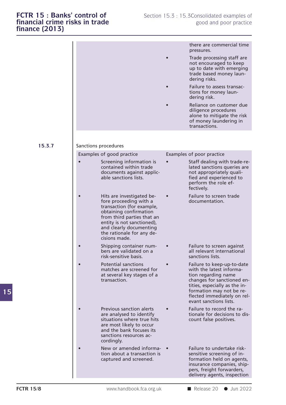| finance (2013) |                                                                                                                                                                                                                                                 |                                                                                                                                                                                                                                   |
|----------------|-------------------------------------------------------------------------------------------------------------------------------------------------------------------------------------------------------------------------------------------------|-----------------------------------------------------------------------------------------------------------------------------------------------------------------------------------------------------------------------------------|
|                |                                                                                                                                                                                                                                                 | there are commercial time<br>pressures.                                                                                                                                                                                           |
|                |                                                                                                                                                                                                                                                 | Trade processing staff are<br>not encouraged to keep<br>up to date with emerging<br>trade based money laun-<br>dering risks.                                                                                                      |
|                |                                                                                                                                                                                                                                                 | Failure to assess transac-<br>tions for money laun-<br>dering risk.                                                                                                                                                               |
|                |                                                                                                                                                                                                                                                 | Reliance on customer due<br>diligence procedures<br>alone to mitigate the risk<br>of money laundering in<br>transactions.                                                                                                         |
| 15.3.7         | Sanctions procedures                                                                                                                                                                                                                            |                                                                                                                                                                                                                                   |
|                | Examples of good practice                                                                                                                                                                                                                       | Examples of poor practice                                                                                                                                                                                                         |
|                | Screening information is<br>contained within trade<br>documents against applic-<br>able sanctions lists.                                                                                                                                        | Staff dealing with trade-re-<br>lated sanctions queries are<br>not appropriately quali-<br>fied and experienced to<br>perform the role ef-<br>fectively.                                                                          |
|                | Hits are investigated be-<br>fore proceeding with a<br>transaction (for example,<br>obtaining confirmation<br>from third parties that an<br>entity is not sanctioned),<br>and clearly documenting<br>the rationale for any de-<br>cisions made. | Failure to screen trade<br>documentation.                                                                                                                                                                                         |
|                | Shipping container num-<br>bers are validated on a<br>risk-sensitive basis.                                                                                                                                                                     | Failure to screen against<br>all relevant international<br>sanctions lists.                                                                                                                                                       |
|                | <b>Potential sanctions</b><br>matches are screened for<br>at several key stages of a<br>transaction.                                                                                                                                            | Failure to keep-up-to-date<br>with the latest informa-<br>tion regarding name<br>changes for sanctioned en-<br>tities, especially as the in-<br>formation may not be re-<br>flected immediately on rel-<br>evant sanctions lists. |
|                | <b>Previous sanction alerts</b><br>are analysed to identify<br>situations where true hits<br>are most likely to occur<br>and the bank focuses its<br>sanctions resources ac-<br>cordingly.                                                      | Failure to record the ra-<br>tionale for decisions to dis-<br>count false positives.                                                                                                                                              |
|                | New or amended informa-<br>tion about a transaction is<br>captured and screened.                                                                                                                                                                | Failure to undertake risk-<br>sensitive screening of in-<br>formation held on agents,<br>insurance companies, ship-<br>pers, freight forwarders,<br>delivery agents, inspection                                                   |